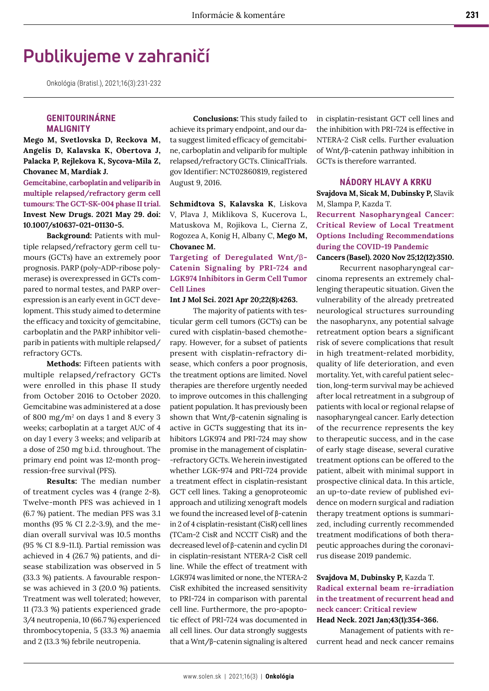# **Publikujeme v zahraničí**

Onkológia (Bratisl.), 2021;16(3):231-232

## **GENITOURINÁRNE MALIGNITY**

**Mego M, Svetlovska D, Reckova M, Angelis D, Kalavska K, Obertova J, Palacka P, Rejlekova K, Sycova-Mila Z, Chovanec M, Mardiak J.** 

**Gemcitabine, carboplatin and veliparib in multiple relapsed/refractory germ cell tumours: The GCT-SK-004 phase II trial. Invest New Drugs. 2021 May 29. doi: 10.1007/s10637-021-01130-5.**

**Background:** Patients with multiple relapsed/refractory germ cell tumours (GCTs) have an extremely poor prognosis. PARP (poly-ADP-ribose polymerase) is overexpressed in GCTs compared to normal testes, and PARP overexpression is an early event in GCT development. This study aimed to determine the efficacy and toxicity of gemcitabine, carboplatin and the PARP inhibitor veliparib in patients with multiple relapsed/ refractory GCTs.

**Methods:** Fifteen patients with multiple relapsed/refractory GCTs were enrolled in this phase II study from October 2016 to October 2020. Gemcitabine was administered at a dose of 800 mg/m<sup>2</sup> on days 1 and 8 every 3 weeks; carboplatin at a target AUC of 4 on day 1 every 3 weeks; and veliparib at a dose of 250 mg b.i.d. throughout. The primary end point was 12-month progression-free survival (PFS).

**Results:** The median number of treatment cycles was 4 (range 2-8). Twelve-month PFS was achieved in 1 (6.7 %) patient. The median PFS was 3.1 months (95 % CI 2.2-3.9), and the median overall survival was 10.5 months (95 % CI 8.9-11.1). Partial remission was achieved in 4 (26.7 %) patients, and disease stabilization was observed in 5 (33.3 %) patients. A favourable response was achieved in 3 (20.0 %) patients. Treatment was well tolerated; however, 11 (73.3 %) patients experienced grade 3/4 neutropenia, 10 (66.7 %) experienced thrombocytopenia, 5 (33.3 %) anaemia and 2 (13.3 %) febrile neutropenia.

**Conclusions:** This study failed to achieve its primary endpoint, and our data suggest limited efficacy of gemcitabine, carboplatin and veliparib for multiple relapsed/refractory GCTs. ClinicalTrials. gov Identifier: NCT02860819, registered August 9, 2016.

**Schmidtova S, Kalavska K**, Liskova V, Plava J, Miklikova S, Kucerova L, Matuskova M, Rojikova L, Cierna Z, Rogozea A, Konig H, Albany C, **Mego M, Chovanec M.** 

# **Targeting of Deregulated Wnt/**β**-Catenin Signaling by PRI-724 and LGK974 Inhibitors in Germ Cell Tumor Cell Lines**

#### **Int J Mol Sci. 2021 Apr 20;22(8):4263.**

The majority of patients with testicular germ cell tumors (GCTs) can be cured with cisplatin-based chemotherapy. However, for a subset of patients present with cisplatin-refractory disease, which confers a poor prognosis, the treatment options are limited. Novel therapies are therefore urgently needed to improve outcomes in this challenging patient population. It has previously been shown that Wnt/β-catenin signaling is active in GCTs suggesting that its inhibitors LGK974 and PRI-724 may show promise in the management of cisplatin- -refractory GCTs. We herein investigated whether LGK-974 and PRI-724 provide a treatment effect in cisplatin-resistant GCT cell lines. Taking a genoproteomic approach and utilizing xenograft models we found the increased level of β-catenin in 2 of 4 cisplatin-resistant (CisR) cell lines (TCam-2 CisR and NCCIT CisR) and the decreased level of β-catenin and cyclin D1 in cisplatin-resistant NTERA-2 CisR cell line. While the effect of treatment with LGK974 was limited or none, the NTERA-2 CisR exhibited the increased sensitivity to PRI-724 in comparison with parental cell line. Furthermore, the pro-apoptotic effect of PRI-724 was documented in all cell lines. Our data strongly suggests that a Wnt/β-catenin signaling is altered

in cisplatin-resistant GCT cell lines and the inhibition with PRI-724 is effective in NTERA-2 CisR cells. Further evaluation of Wnt/β-catenin pathway inhibition in GCTs is therefore warranted.

#### **NÁDORY HLAVY A KRKU**

**Svajdova M, Sicak M, Dubinsky P,** Slavik M, Slampa P, Kazda T.

**Recurrent Nasopharyngeal Cancer: Critical Review of Local Treatment Options Including Recommendations during the COVID-19 Pandemic**

**Cancers (Basel). 2020 Nov 25;12(12):3510.**

Recurrent nasopharyngeal carcinoma represents an extremely challenging therapeutic situation. Given the vulnerability of the already pretreated neurological structures surrounding the nasopharynx, any potential salvage retreatment option bears a significant risk of severe complications that result in high treatment-related morbidity, quality of life deterioration, and even mortality. Yet, with careful patient selection, long-term survival may be achieved after local retreatment in a subgroup of patients with local or regional relapse of nasopharyngeal cancer. Early detection of the recurrence represents the key to therapeutic success, and in the case of early stage disease, several curative treatment options can be offered to the patient, albeit with minimal support in prospective clinical data. In this article, an up-to-date review of published evidence on modern surgical and radiation therapy treatment options is summarized, including currently recommended treatment modifications of both therapeutic approaches during the coronavirus disease 2019 pandemic.

# **Svajdova M, Dubinsky P,** Kazda T. **Radical external beam re-irradiation in the treatment of recurrent head and neck cancer: Critical review**

#### **Head Neck. 2021 Jan;43(1):354-366.**

Management of patients with recurrent head and neck cancer remains